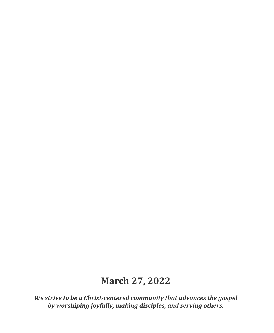# **March 27, 2022**

*We strive to be a Christ-centered community that advances the gospel by worshiping joyfully, making disciples, and serving others.*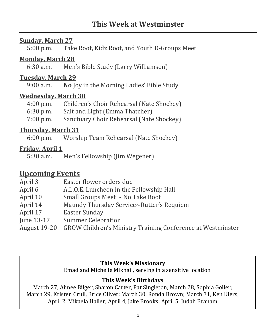#### **Sunday, March 27**

5:00 p.m. Take Root, Kidz Root, and Youth D-Groups Meet

#### **Monday, March 28**

6:30 a.m. Men's Bible Study (Larry Williamson)

# **Tuesday, March 29**

9:00 a.m. **No** Joy in the Morning Ladies' Bible Study

#### **Wednesday, March 30**

| $4:00$ p.m. | Children's Choir Rehearsal (Nate Shockey) |
|-------------|-------------------------------------------|
| $6:30$ p.m. | Salt and Light (Emma Thatcher)            |
| $7:00$ p.m. | Sanctuary Choir Rehearsal (Nate Shockey)  |

#### **Thursday, March 31**

6:00 p.m. Worship Team Rehearsal (Nate Shockey)

### **Friday, April 1**

5:30 a.m. Men's Fellowship (Jim Wegener)

# **Upcoming Events**

| April 3      | Easter flower orders due                                    |
|--------------|-------------------------------------------------------------|
| April 6      | A.L.O.E. Luncheon in the Fellowship Hall                    |
| April 10     | Small Groups Meet $\sim$ No Take Root                       |
| April 14     | Maundy Thursday Service~Rutter's Requiem                    |
| April 17     | <b>Easter Sunday</b>                                        |
| June 13-17   | <b>Summer Celebration</b>                                   |
| August 19-20 | GROW Children's Ministry Training Conference at Westminster |

#### **This Week's Missionary**

Emad and Michelle Mikhail, serving in a sensitive location

#### **This Week's Birthdays**

March 27, Aimee Bilger, Sharon Carter, Pat Singleton; March 28, Sophia Goller; March 29, Kristen Crull, Brice Oliver; March 30, Ronda Brown; March 31, Ken Kiers; April 2, Mikaela Haller; April 4, Jake Brooks; April 5, Judah Branam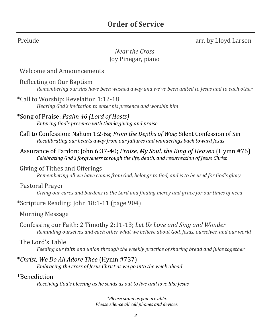Prelude **arr.** by Lloyd Larson

# *Near the Cross* Joy Pinegar, piano

#### Welcome and Announcements

Reflecting on Our Baptism *Remembering our sins have been washed away and we've been united to Jesus and to each other*

\*Call to Worship: Revelation 1:12-18 *Hearing God's invitation to enter his presence and worship him*

\*Song of Praise: *Psalm 46 (Lord of Hosts) Entering God's presence with thanksgiving and praise*

Call to Confession: Nahum 1:2-6a; *From the Depths of Woe;* Silent Confession of Sin *Recalibrating our hearts away from our failures and wanderings back toward Jesus*

 Assurance of Pardon: John 6:37-40; *Praise, My Soul, the King of Heaven* (Hymn #76) *Celebrating God's forgiveness through the life, death, and resurrection of Jesus Christ*

#### Giving of Tithes and Offerings

*Remembering all we have comes from God, belongs to God, and is to be used for God's glory*

#### Pastoral Prayer

*Giving our cares and burdens to the Lord and finding mercy and grace for our times of need*

\*Scripture Reading: John 18:1-11 (page 904)

Morning Message

Confessing our Faith: 2 Timothy 2:11-13; *Let Us Love and Sing and Wonder Reminding ourselves and each other what we believe about God, Jesus, ourselves, and our world*

#### The Lord's Table

*Feeding our faith and union through the weekly practice of sharing bread and juice together*

\**Christ, We Do All Adore Thee* (Hymn #737)

*Embracing the cross of Jesus Christ as we go into the week ahead*

#### \*Benediction

*Receiving God's blessing as he sends us out to live and love like Jesus*

*\*Please stand as you are able. Please silence all cell phones and devices.*